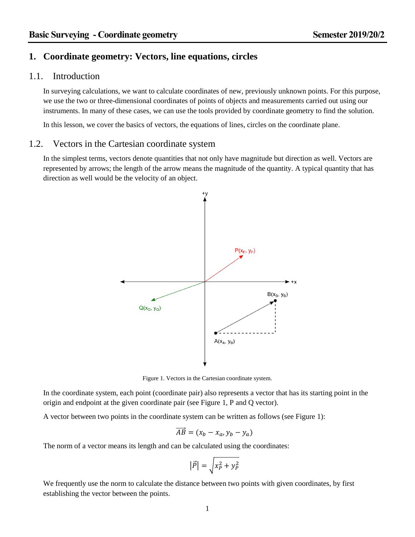# **1. Coordinate geometry: Vectors, line equations, circles**

## 1.1. Introduction

In surveying calculations, we want to calculate coordinates of new, previously unknown points. For this purpose, we use the two or three-dimensional coordinates of points of objects and measurements carried out using our instruments. In many of these cases, we can use the tools provided by coordinate geometry to find the solution.

In this lesson, we cover the basics of vectors, the equations of lines, circles on the coordinate plane.

## 1.2. Vectors in the Cartesian coordinate system

In the simplest terms, vectors denote quantities that not only have magnitude but direction as well. Vectors are represented by arrows; the length of the arrow means the magnitude of the quantity. A typical quantity that has direction as well would be the velocity of an object.



Figure 1. Vectors in the Cartesian coordinate system.

<span id="page-0-0"></span>In the coordinate system, each point (coordinate pair) also represents a vector that has its starting point in the origin and endpoint at the given coordinate pair (see [Figure 1,](#page-0-0) P and Q vector).

A vector between two points in the coordinate system can be written as follows (see [Figure 1\)](#page-0-0):

$$
\overrightarrow{AB} = (x_b - x_a, y_b - y_a)
$$

The norm of a vector means its length and can be calculated using the coordinates:

$$
\left|\vec{P}\right| = \sqrt{x_P^2 + y_P^2}
$$

We frequently use the norm to calculate the distance between two points with given coordinates, by first establishing the vector between the points.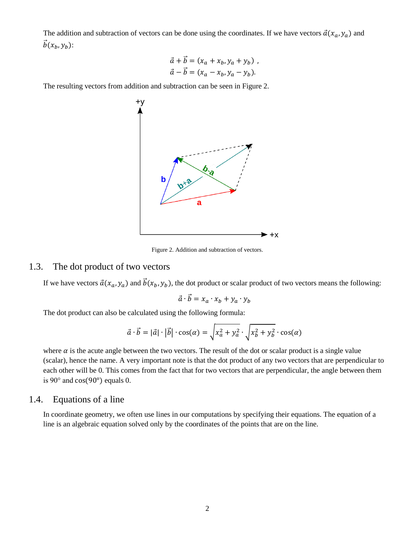The addition and subtraction of vectors can be done using the coordinates. If we have vectors  $\vec{a}(x_a, y_a)$  and  $\vec{b}(x_h, y_h)$ :

$$
\vec{a} + \vec{b} = (x_a + x_b, y_a + y_b) ,
$$
  

$$
\vec{a} - \vec{b} = (x_a - x_b, y_a - y_b).
$$

The resulting vectors from addition and subtraction can be seen in [Figure 2.](#page-1-0)



Figure 2. Addition and subtraction of vectors.

# <span id="page-1-0"></span>1.3. The dot product of two vectors

If we have vectors  $\vec{a}(x_a, y_a)$  and  $\vec{b}(x_b, y_b)$ , the dot product or scalar product of two vectors means the following:

$$
\vec{a} \cdot \vec{b} = x_a \cdot x_b + y_a \cdot y_b
$$

The dot product can also be calculated using the following formula:

$$
\vec{a} \cdot \vec{b} = |\vec{a}| \cdot |\vec{b}| \cdot \cos(\alpha) = \sqrt{x_a^2 + y_a^2} \cdot \sqrt{x_b^2 + y_b^2} \cdot \cos(\alpha)
$$

where  $\alpha$  is the acute angle between the two vectors. The result of the dot or scalar product is a single value (scalar), hence the name. A very important note is that the dot product of any two vectors that are perpendicular to each other will be 0. This comes from the fact that for two vectors that are perpendicular, the angle between them is  $90^\circ$  and  $\cos(90^\circ)$  equals 0.

# 1.4. Equations of a line

In coordinate geometry, we often use lines in our computations by specifying their equations. The equation of a line is an algebraic equation solved only by the coordinates of the points that are on the line.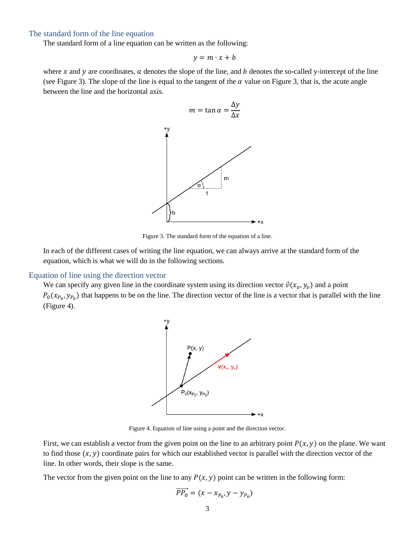### The standard form of the line equation

The standard form of a line equation can be written as the following:

$$
y = m \cdot x + b
$$

where x and y are coordinates,  $\alpha$  denotes the slope of the line, and  $\beta$  denotes the so-called y-intercept of the line (see [Figure 3\)](#page-2-0). The slope of the line is equal to the tangent of the  $\alpha$  value on [Figure 3,](#page-2-0) that is, the acute angle between the line and the horizontal axis.



Figure 3. The standard form of the equation of a line.

<span id="page-2-0"></span>In each of the different cases of writing the line equation, we can always arrive at the standard form of the equation, which is what we will do in the following sections.

#### <span id="page-2-2"></span>Equation of line using the direction vector

We can specify any given line in the coordinate system using its direction vector  $\vec{v}(x_v, y_v)$  and a point  $P_0(x_{P_0}, y_{P_0})$  that happens to be on the line. The direction vector of the line is a vector that is parallel with the line [\(Figure 4\)](#page-2-1).



Figure 4. Equation of line using a point and the direction vector.

<span id="page-2-1"></span>First, we can establish a vector from the given point on the line to an arbitrary point  $P(x, y)$  on the plane. We want to find those  $(x, y)$  coordinate pairs for which our established vector is parallel with the direction vector of the line. In other words, their slope is the same.

The vector from the given point on the line to any  $P(x, y)$  point can be written in the following form:

$$
\overrightarrow{PP_0} = (x - x_{P_0}, y - y_{P_0})
$$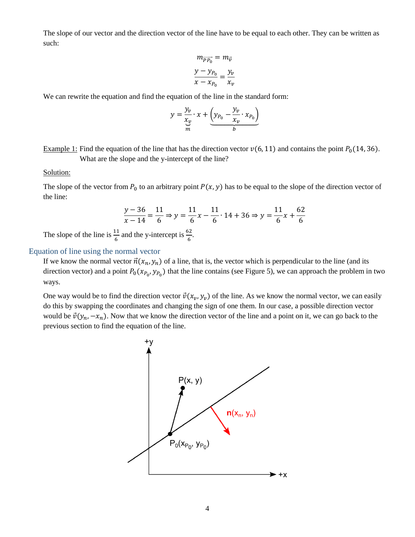The slope of our vector and the direction vector of the line have to be equal to each other. They can be written as such:

$$
m_{\overrightarrow{PP_0}} = m_{\overrightarrow{v}}
$$

$$
\frac{y - y_{P_0}}{x - x_{P_0}} = \frac{y_v}{x_v}
$$

We can rewrite the equation and find the equation of the line in the standard form:

$$
y = \frac{y_v}{\frac{x_v}{m}} \cdot x + \underbrace{\left(y_{P_0} - \frac{y_v}{x_v} \cdot x_{P_0}\right)}_{b}
$$

Example 1: Find the equation of the line that has the direction vector  $v(6, 11)$  and contains the point  $P_0(14, 36)$ . What are the slope and the y-intercept of the line?

### Solution:

The slope of the vector from  $P_0$  to an arbitrary point  $P(x, y)$  has to be equal to the slope of the direction vector of the line:

<span id="page-3-0"></span>
$$
\frac{y-36}{x-14} = \frac{11}{6} \Rightarrow y = \frac{11}{6}x - \frac{11}{6} \cdot 14 + 36 \Rightarrow y = \frac{11}{6}x + \frac{62}{6}
$$

The slope of the line is  $\frac{11}{6}$  and the y-intercept is  $\frac{62}{6}$ .

## Equation of line using the normal vector

If we know the normal vector  $\vec{n}(x_n, y_n)$  of a line, that is, the vector which is perpendicular to the line (and its direction vector) and a point  $P_0(x_{P_0}, y_{P_0})$  that the line contains (see [Figure 5\)](#page-4-0), we can approach the problem in two ways.

One way would be to find the direction vector  $\vec{v}(x_v, y_v)$  of the line. As we know the normal vector, we can easily do this by swapping the coordinates and changing the sign of one them. In our case, a possible direction vector would be  $\vec{v}(y_n, -x_n)$ . Now that we know the direction vector of the line and a point on it, we can go back to the previous section to find the equation of the line.

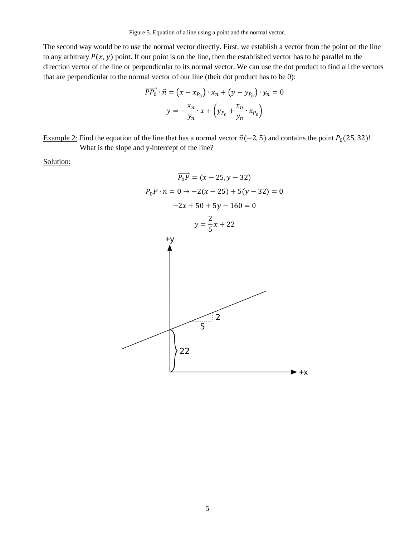Figure 5. Equation of a line using a point and the normal vector.

<span id="page-4-0"></span>The second way would be to use the normal vector directly. First, we establish a vector from the point on the line to any arbitrary  $P(x, y)$  point. If our point is on the line, then the established vector has to be parallel to the direction vector of the line or perpendicular to its normal vector. We can use the dot product to find all the vectors that are perpendicular to the normal vector of our line (their dot product has to be 0):

$$
\overrightarrow{PP_0} \cdot \vec{n} = (x - x_{P_0}) \cdot x_n + (y - y_{P_0}) \cdot y_n = 0
$$

$$
y = -\frac{x_n}{y_n} \cdot x + \left(y_{P_0} + \frac{x_n}{y_n} \cdot x_{P_0}\right)
$$

Example 2: Find the equation of the line that has a normal vector  $\vec{n}(-2, 5)$  and contains the point  $P_0(25, 32)$ !

What is the slope and y-intercept of the line?

Solution:

⃗⃗⃗ ⃗⃗⃗⃗ = ( − 25, − 32) 0 0 ∙ = 0 → −2( − 25) + 5( − 32) = 0 −2 + 50 + 5 − 160 = 0 2 = + 225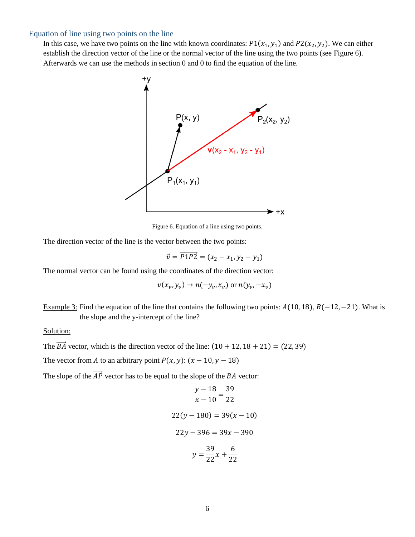### Equation of line using two points on the line

In this case, we have two points on the line with known coordinates:  $P1(x_1, y_1)$  and  $P2(x_2, y_2)$ . We can either establish the direction vector of the line or the normal vector of the line using the two points (see [Figure 6\)](#page-5-0). Afterwards we can use the methods in section [0](#page-2-2) and [0](#page-3-0) to find the equation of the line.



Figure 6. Equation of a line using two points.

<span id="page-5-0"></span>The direction vector of the line is the vector between the two points:

$$
\vec{v} = \overrightarrow{P1P2} = (x_2 - x_1, y_2 - y_1)
$$

The normal vector can be found using the coordinates of the direction vector:

$$
v(x_v, y_v) \to n(-y_v, x_v) \text{ or } n(y_v, -x_v)
$$

Example 3: Find the equation of the line that contains the following two points:  $A(10, 18)$ ,  $B(-12, -21)$ . What is the slope and the y-intercept of the line?

#### Solution:

The  $\overrightarrow{BA}$  vector, which is the direction vector of the line:  $(10 + 12, 18 + 21) = (22, 39)$ 

The vector from *A* to an arbitrary point  $P(x, y)$ :  $(x - 10, y - 18)$ 

The slope of the  $\overrightarrow{AP}$  vector has to be equal to the slope of the *BA* vector:

$$
\frac{y - 18}{x - 10} = \frac{39}{22}
$$
  
22(y - 180) = 39(x - 10)  
22y - 396 = 39x - 390  

$$
y = \frac{39}{22}x + \frac{6}{22}
$$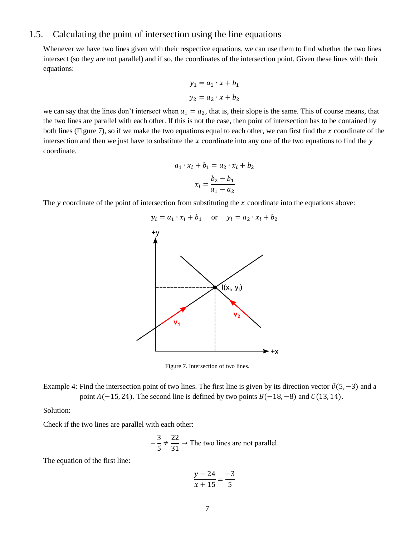# 1.5. Calculating the point of intersection using the line equations

Whenever we have two lines given with their respective equations, we can use them to find whether the two lines intersect (so they are not parallel) and if so, the coordinates of the intersection point. Given these lines with their equations:

$$
y_1 = a_1 \cdot x + b_1
$$

$$
y_2 = a_2 \cdot x + b_2
$$

we can say that the lines don't intersect when  $a_1 = a_2$ , that is, their slope is the same. This of course means, that the two lines are parallel with each other. If this is not the case, then point of intersection has to be contained by both lines [\(Figure 7\)](#page-6-0), so if we make the two equations equal to each other, we can first find the  $x$  coordinate of the intersection and then we just have to substitute the x coordinate into any one of the two equations to find the  $y$ coordinate.

$$
a_1 \cdot x_i + b_1 = a_2 \cdot x_i + b_2
$$

$$
x_i = \frac{b_2 - b_1}{a_1 - a_2}
$$

The  $y$  coordinate of the point of intersection from substituting the  $x$  coordinate into the equations above:



Figure 7. Intersection of two lines.

<span id="page-6-0"></span>Example 4: Find the intersection point of two lines. The first line is given by its direction vector  $\vec{v}(5, -3)$  and a point  $A(-15, 24)$ . The second line is defined by two points  $B(-18, -8)$  and  $C(13, 14)$ .

### Solution:

Check if the two lines are parallel with each other:

$$
-\frac{3}{5} \neq \frac{22}{31} \to \text{The two lines are not parallel.}
$$

The equation of the first line:

$$
\frac{y - 24}{x + 15} = \frac{-3}{5}
$$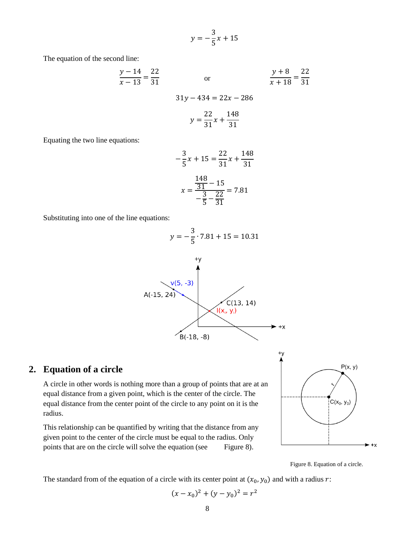$$
y = -\frac{3}{5}x + 15
$$

The equation of the second line:

$$
\frac{y-14}{x-13} = \frac{22}{31}
$$
 or 
$$
\frac{y+8}{x+18} = \frac{22}{31}
$$

$$
31y - 434 = 22x - 286
$$
  

$$
22 \t 148
$$

$$
y = \frac{1}{31}x + \frac{1}{31}
$$

Equating the two line equations:

$$
-\frac{3}{5}x + 15 = \frac{22}{31}x + \frac{148}{31}
$$

$$
x = \frac{\frac{148}{31} - 15}{-\frac{3}{5} - \frac{22}{31}} = 7.81
$$

Substituting into one of the line equations:



# **2. Equation of a circle**

A circle in other words is nothing more than a group of points that are at an equal distance from a given point, which is the center of the circle. The equal distance from the center point of the circle to any point on it is the radius.

This relationship can be quantified by writing that the distance from any given point to the center of the circle must be equal to the radius. Only points that are on the circle will solve the equation (see [Figure 8\)](#page-7-0).



Figure 8. Equation of a circle.

<span id="page-7-0"></span>The standard from of the equation of a circle with its center point at  $(x_0, y_0)$  and with a radius r:

$$
(x - x_0)^2 + (y - y_0)^2 = r^2
$$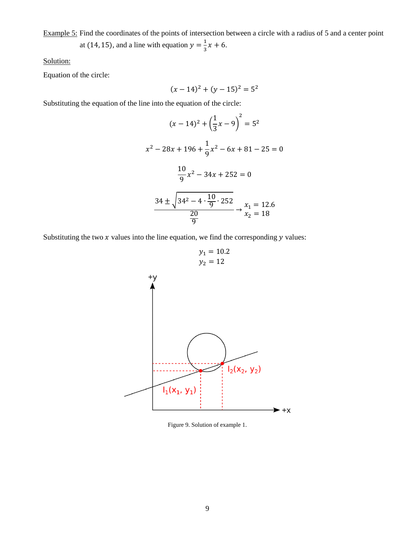Example 5: Find the coordinates of the points of intersection between a circle with a radius of 5 and a center point at (14, 15), and a line with equation  $y = \frac{1}{3}$  $\frac{1}{3}x + 6$ .

Solution:

Equation of the circle:

$$
(x-14)^2 + (y-15)^2 = 5^2
$$

Substituting the equation of the line into the equation of the circle:

$$
(x - 14)^2 + \left(\frac{1}{3}x - 9\right)^2 = 5^2
$$
  

$$
x^2 - 28x + 196 + \frac{1}{9}x^2 - 6x + 81 - 25 = 0
$$
  

$$
\frac{10}{9}x^2 - 34x + 252 = 0
$$
  

$$
\frac{34 \pm \sqrt{34^2 - 4 \cdot \frac{10}{9} \cdot 252}}{\frac{20}{9}} \rightarrow \frac{x_1}{x_2} = 12.6
$$

 $y_1 = 10.2$ 

Substituting the two  $x$  values into the line equation, we find the corresponding  $y$  values:

<sup>2</sup> = 12 

Figure 9. Solution of example 1.